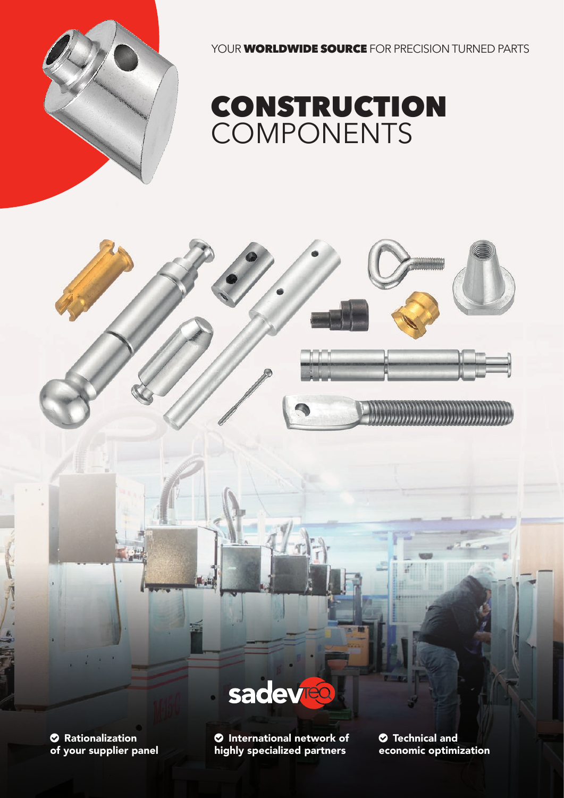

YOUR **WORLDWIDE SOURCE** FOR PRECISION TURNED PARTS





**<sup>** $\circ$ **</sup> Rationalization** of your supplier panel

 International network of highly specialized partners

 Technical and economic optimization